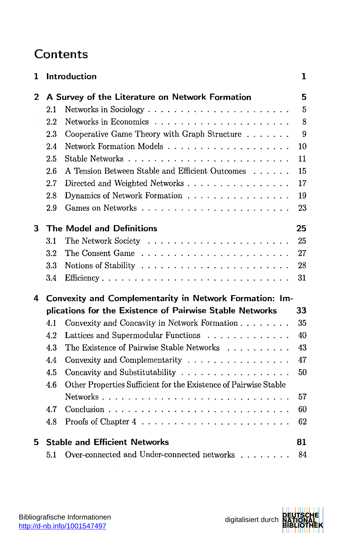## Content s

| 1              |                                                         | Introduction                                                     | 1              |  |  |
|----------------|---------------------------------------------------------|------------------------------------------------------------------|----------------|--|--|
| $\overline{2}$ | A Survey of the Literature on Network Formation         |                                                                  |                |  |  |
|                | 2.1                                                     |                                                                  | $\overline{5}$ |  |  |
|                | 2.2                                                     |                                                                  | 8              |  |  |
|                | 2.3                                                     | Cooperative Game Theory with Graph Structure                     | 9              |  |  |
|                | 2.4                                                     |                                                                  | 10             |  |  |
|                | 2.5                                                     |                                                                  | 11             |  |  |
|                | 2.6                                                     | A Tension Between Stable and Efficient Outcomes $\dots \dots$    | 15             |  |  |
|                | 2.7                                                     | Directed and Weighted Networks                                   | 17             |  |  |
|                | 2.8                                                     | Dynamics of Network Formation                                    | 19             |  |  |
|                | 2.9                                                     |                                                                  | 23             |  |  |
| 3              | <b>The Model and Definitions</b><br>25                  |                                                                  |                |  |  |
|                | 3.1                                                     |                                                                  | 25             |  |  |
|                | $3.2\,$                                                 |                                                                  | 27             |  |  |
|                | 3.3                                                     |                                                                  | 28             |  |  |
|                | 3.4                                                     |                                                                  | 31             |  |  |
| 4              | Convexity and Complementarity in Network Formation: Im- |                                                                  |                |  |  |
|                |                                                         | plications for the Existence of Pairwise Stable Networks         | 33             |  |  |
|                | 4.1                                                     | Convexity and Concavity in Network Formation                     | 35             |  |  |
|                | 4.2                                                     | Lattices and Supermodular Functions                              | 40             |  |  |
|                | 4.3                                                     | The Existence of Pairwise Stable Networks                        | 43             |  |  |
|                | 4.4                                                     | Convexity and Complementarity $\ldots$ ,                         | 47             |  |  |
|                | 4.5                                                     | Concavity and Substitutability                                   | 50             |  |  |
|                | 4.6                                                     | Other Properties Sufficient for the Existence of Pairwise Stable |                |  |  |
|                |                                                         |                                                                  | 57             |  |  |
|                | 4.7                                                     |                                                                  | 60             |  |  |
|                | 4.8                                                     |                                                                  | 62             |  |  |
| 5              |                                                         | <b>Stable and Efficient Networks</b>                             | 81             |  |  |
|                | 5.1                                                     | Over-connected and Under-connected networks                      | 84             |  |  |